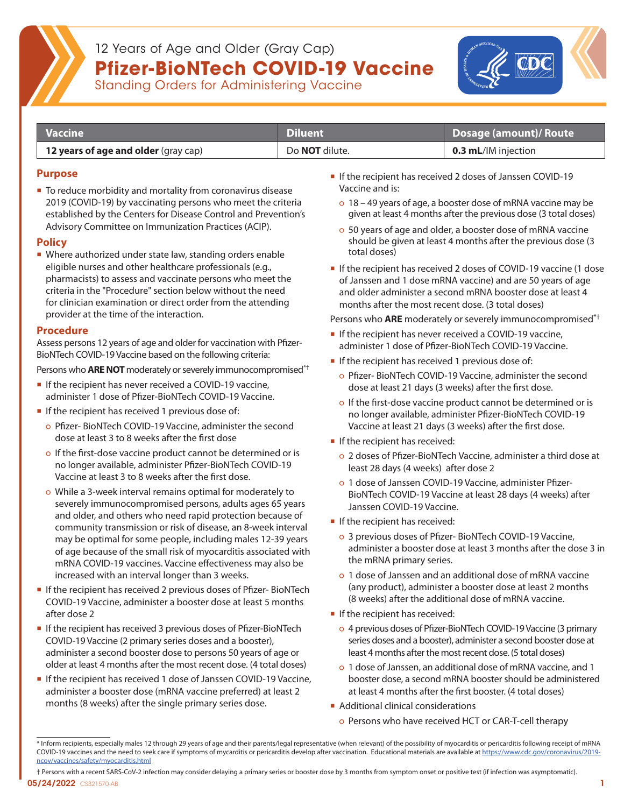

# 12 Years of Age and Older (Gray Cap) **Pfizer-BioNTech COVID-19 Vaccine**<br>Standing Orders for Administering Vaccine

| <b>Vaccine</b>                              | 'Diluent              | Dosage (amount)/ Route     |
|---------------------------------------------|-----------------------|----------------------------|
| <b>12 years of age and older</b> (gray cap) | Do <b>NOT</b> dilute. | <b>0.3 mL/IM injection</b> |

#### **Purpose**

■ To reduce morbidity and mortality from coronavirus disease 2019 (COVID-19) by vaccinating persons who meet the criteria established by the Centers for Disease Control and Prevention's Advisory Committee on Immunization Practices (ACIP).

## **Policy**

■ Where authorized under state law, standing orders enable eligible nurses and other healthcare professionals (e.g., pharmacists) to assess and vaccinate persons who meet the criteria in the "Procedure" section below without the need for clinician examination or direct order from the attending provider at the time of the interaction.

## **Procedure**

Assess persons 12 years of age and older for vaccination with Pfizer-BioNTech COVID-19 Vaccine based on the following criteria:

Persons who **ARE NOT** moderately or severely immunocompromised\*<sup>†</sup>

- If the recipient has never received a COVID-19 vaccine, administer 1 dose of Pfizer-BioNTech COVID-19 Vaccine.
- If the recipient has received 1 previous dose of:
	- Pfizer- BioNTech COVID-19 Vaccine, administer the second dose at least 3 to 8 weeks after the first dose
	- o If the first-dose vaccine product cannot be determined or is no longer available, administer Pfizer-BioNTech COVID-19 Vaccine at least 3 to 8 weeks after the first dose.
	- While a 3-week interval remains optimal for moderately to severely immunocompromised persons, adults ages 65 years and older, and others who need rapid protection because of community transmission or risk of disease, an 8-week interval may be optimal for some people, including males 12-39 years of age because of the small risk of myocarditis associated with mRNA COVID-19 vaccines. Vaccine effectiveness may also be increased with an interval longer than 3 weeks.
- If the recipient has received 2 previous doses of Pfizer- BioNTech COVID-19 Vaccine, administer a booster dose at least 5 months after dose 2
- **If the recipient has received 3 previous doses of Pfizer-BioNTech** COVID-19 Vaccine (2 primary series doses and a booster), administer a second booster dose to persons 50 years of age or older at least 4 months after the most recent dose. (4 total doses)
- **If the recipient has received 1 dose of Janssen COVID-19 Vaccine,** administer a booster dose (mRNA vaccine preferred) at least 2 months (8 weeks) after the single primary series dose.
- If the recipient has received 2 doses of Janssen COVID-19 Vaccine and is:
	- 18 49 years of age, a booster dose of mRNA vaccine may be given at least 4 months after the previous dose (3 total doses)
	- 50 years of age and older, a booster dose of mRNA vaccine should be given at least 4 months after the previous dose (3 total doses)
- If the recipient has received 2 doses of COVID-19 vaccine (1 dose of Janssen and 1 dose mRNA vaccine) and are 50 years of age and older administer a second mRNA booster dose at least 4 months after the most recent dose. (3 total doses)

Persons who **ARE** moderately or severely immunocompromised\*†

- If the recipient has never received a COVID-19 vaccine, administer 1 dose of Pfizer-BioNTech COVID-19 Vaccine.
- If the recipient has received 1 previous dose of:
	- Pfizer- BioNTech COVID-19 Vaccine, administer the second dose at least 21 days (3 weeks) after the first dose.
	- o If the first-dose vaccine product cannot be determined or is no longer available, administer Pfizer-BioNTech COVID-19 Vaccine at least 21 days (3 weeks) after the first dose.
- If the recipient has received:
	- 2 doses of Pfizer-BioNTech Vaccine, administer a third dose at least 28 days (4 weeks) after dose 2
	- 1 dose of Janssen COVID-19 Vaccine, administer Pfizer-BioNTech COVID-19 Vaccine at least 28 days (4 weeks) after Janssen COVID-19 Vaccine.
- If the recipient has received:
	- 3 previous doses of Pfizer- BioNTech COVID-19 Vaccine, administer a booster dose at least 3 months after the dose 3 in the mRNA primary series.
	- 1 dose of Janssen and an additional dose of mRNA vaccine (any product), administer a booster dose at least 2 months (8 weeks) after the additional dose of mRNA vaccine.
- If the recipient has received:
	- 4 previous doses of Pfizer-BioNTech COVID-19 Vaccine (3 primary series doses and a booster), administer a second booster dose at least 4 months after the most recent dose. (5 total doses)
	- 1 dose of Janssen, an additional dose of mRNA vaccine, and 1 booster dose, a second mRNA booster should be administered at least 4 months after the first booster. (4 total doses)
- **Additional clinical considerations** 
	- Persons who have received HCT or CAR-T-cell therapy

<sup>\*</sup> Inform recipients, especially males 12 through 29 years of age and their parents/legal representative (when relevant) of the possibility of myocarditis or pericarditis following receipt of mRNA COVID-19 vaccines and the need to seek care if symptoms of mycarditis or pericarditis develop after vaccination. Educational materials are available at [https://www.cdc.gov/coronavirus/2019](https://www.cdc.gov/coronavirus/2019-ncov/vaccines/safety/myocarditis.html) [ncov/vaccines/safety/myocarditis.html](https://www.cdc.gov/coronavirus/2019-ncov/vaccines/safety/myocarditis.html)

 $\sim$  CS321570-AB 1 † Persons with a recent SARS-CoV-2 infection may consider delaying a primary series or booster dose by 3 months from symptom onset or positive test (if infection was asymptomatic). 05/24/2022 CS321570-AB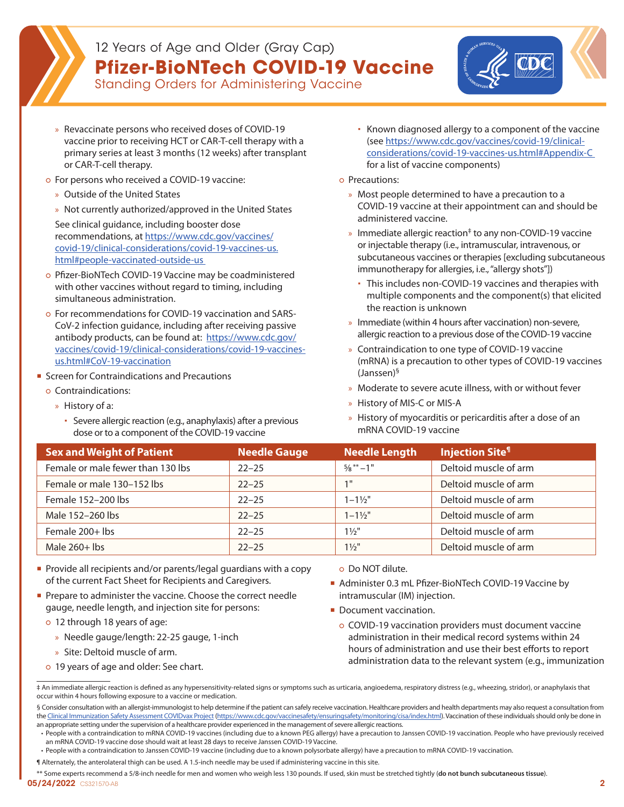## 12 Years of Age and Older (Gray Cap) **Pfizer-BioNTech COVID-19 Vaccine**



- Standing Orders for Administering Vaccine
- » Revaccinate persons who received doses of COVID-19 vaccine prior to receiving HCT or CAR-T-cell therapy with a primary series at least 3 months (12 weeks) after transplant or CAR-T-cell therapy.
- For persons who received a COVID-19 vaccine:
	- » Outside of the United States
	- » Not currently authorized/approved in the United States

See clinical guidance, including booster dose recommendations, at [https://www.cdc.gov/vaccines/](https://www.cdc.gov/vaccines/covid-19/clinical-considerations/covid-19-vaccines-us.html#people-vaccinated-outside-us ) [covid-19/clinical-considerations/covid-19-vaccines-us.](https://www.cdc.gov/vaccines/covid-19/clinical-considerations/covid-19-vaccines-us.html#people-vaccinated-outside-us ) [html#people-vaccinated-outside-us](https://www.cdc.gov/vaccines/covid-19/clinical-considerations/covid-19-vaccines-us.html#people-vaccinated-outside-us ) 

- Pfizer-BioNTech COVID-19 Vaccine may be coadministered with other vaccines without regard to timing, including simultaneous administration.
- For recommendations for COVID-19 vaccination and SARS-CoV-2 infection guidance, including after receiving passive antibody products, can be found at: [https://www.cdc.gov/](https://www.cdc.gov/vaccines/covid-19/clinical-considerations/covid-19-vaccines-us.html#CoV-19-vaccination) [vaccines/covid-19/clinical-considerations/covid-19-vaccines](https://www.cdc.gov/vaccines/covid-19/clinical-considerations/covid-19-vaccines-us.html#CoV-19-vaccination)[us.html#CoV-19-vaccination](https://www.cdc.gov/vaccines/covid-19/clinical-considerations/covid-19-vaccines-us.html#CoV-19-vaccination)
- **Screen for Contraindications and Precautions** 
	- Contraindications:
		- » History of a:
			- Severe allergic reaction (e.g., anaphylaxis) after a previous dose or to a component of the COVID-19 vaccine
- Known diagnosed allergy to a component of the vaccine (see [https://www.cdc.gov/vaccines/covid-19/clinical](https://www.cdc.gov/vaccines/covid-19/clinical-considerations/covid-19-vaccines-us.html#Appendix-C)[considerations/covid-19-vaccines-us.html#Appendix-C](https://www.cdc.gov/vaccines/covid-19/clinical-considerations/covid-19-vaccines-us.html#Appendix-C)  [for a list of vaccine components](https://www.cdc.gov/vaccines/covid-19/clinical-considerations/covid-19-vaccines-us.html#Appendix-C))
- Precautions:
	- » Most people determined to have a precaution to a COVID-19 vaccine at their appointment can and should be administered vaccine.
	- » Immediate allergic reaction<sup>‡</sup> to any non-COVID-19 vaccine or injectable therapy (i.e., intramuscular, intravenous, or subcutaneous vaccines or therapies [excluding subcutaneous immunotherapy for allergies, i.e., "allergy shots"])
		- This includes non-COVID-19 vaccines and therapies with multiple components and the component(s) that elicited the reaction is unknown
	- » Immediate (within 4 hours after vaccination) non-severe, allergic reaction to a previous dose of the COVID-19 vaccine
	- » Contraindication to one type of COVID-19 vaccine (mRNA) is a precaution to other types of COVID-19 vaccines (Janssen)§
	- » Moderate to severe acute illness, with or without fever
	- » History of MIS-C or MIS-A
	- » History of myocarditis or pericarditis after a dose of an mRNA COVID-19 vaccine

| Sex and Weight of Patient         | Needle Gauge | Needle Length                     | <b>Injection Site<sup>1</sup></b> |
|-----------------------------------|--------------|-----------------------------------|-----------------------------------|
| Female or male fewer than 130 lbs | $22 - 25$    | $\frac{5}{8}$ $\frac{**}{1}$ – 1" | Deltoid muscle of arm             |
| Female or male 130-152 lbs        | $22 - 25$    | 1 <sup>H</sup>                    | Deltoid muscle of arm             |
| Female 152-200 lbs                | $22 - 25$    | $1 - 1\frac{1}{2}$                | Deltoid muscle of arm             |
| Male 152-260 lbs                  | $22 - 25$    | $1 - 1\frac{1}{2}$                | Deltoid muscle of arm             |
| Female 200+ lbs                   | $22 - 25$    | $1\frac{1}{2}$ "                  | Deltoid muscle of arm             |
| Male $260+$ lbs                   | $22 - 25$    | $1\frac{1}{2}$                    | Deltoid muscle of arm             |

- **Provide all recipients and/or parents/legal guardians with a copy** of the current Fact Sheet for Recipients and Caregivers.
- Prepare to administer the vaccine. Choose the correct needle gauge, needle length, and injection site for persons:
	- 12 through 18 years of age:
		- » Needle gauge/length: 22-25 gauge, 1-inch
		- » Site: Deltoid muscle of arm.
	- 19 years of age and older: See chart.

## ○ Do NOT dilute.

- Administer 0.3 mL Pfizer-BioNTech COVID-19 Vaccine by intramuscular (IM) injection.
- Document vaccination.
- COVID-19 vaccination providers must document vaccine administration in their medical record systems within 24 hours of administration and use their best efforts to report administration data to the relevant system (e.g., immunization

¶ Alternately, the anterolateral thigh can be used. A 1.5-inch needle may be used if administering vaccine in this site.

05/24/2022 CS321570-AB 2 \*\* Some experts recommend a 5/8-inch needle for men and women who weigh less 130 pounds. If used, skin must be stretched tightly (**do not bunch subcutaneous tissue**).

<sup>‡</sup> An immediate allergic reaction is defined as any hypersensitivity-related signs or symptoms such as urticaria, angioedema, respiratory distress (e.g., wheezing, stridor), or anaphylaxis that occur within 4 hours following exposure to a vaccine or medication.

<sup>§</sup> Consider consultation with an allergist-immunologist to help determine if the patient can safely receive vaccination. Healthcare providers and health departments may also request a consultation from the [Clinical Immunization Safety Assessment COVIDvax Project \(https://www.cdc.gov/vaccinesafety/ensuringsafety/monitoring/cisa/index.html](https://www.cdc.gov/vaccinesafety/ensuringsafety/monitoring/cisa/index.html)). Vaccination of these individuals should only be done in an appropriate setting under the supervision of a healthcare provider experienced in the management of severe allergic reactions.

<sup>•</sup> People with a contraindication to mRNA COVID-19 vaccines (including due to a known PEG allergy) have a precaution to Janssen COVID-19 vaccination. People who have previously received an mRNA COVID-19 vaccine dose should wait at least 28 days to receive Janssen COVID-19 Vaccine.

<sup>•</sup> People with a contraindication to Janssen COVID-19 vaccine (including due to a known polysorbate allergy) have a precaution to mRNA COVID-19 vaccination.